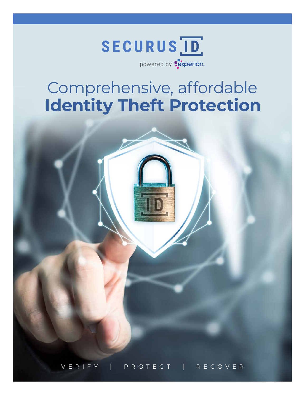

# Comprehensive, affordable **Identity Theft Protection**

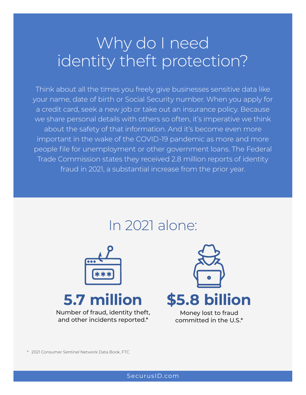# Why do I need identity theft protection?

Think about all the times you freely give businesses sensitive data like your name, date of birth or Social Security number. When you apply for a credit card, seek a new job or take out an insurance policy. Because we share personal details with others so often, it's imperative we think about the safety of that information. And it's become even more important in the wake of the COVID-19 pandemic as more and more people file for unemployment or other government loans. The Federal Trade Commission states they received 2.8 million reports of identity fraud in 2021, a substantial increase from the prior year.

## In 2021 alone:



# **5.7 million**

Number of fraud, identity theft, and other incidents reported.\*



Money lost to fraud committed in the U.S.\*

\* 2021 Consumer Sentinel Network Data Book, FTC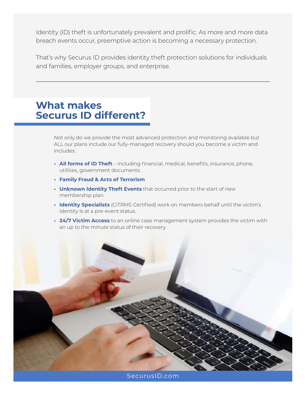Identity (ID) theft is unfortunately prevalent and prolific. As more and more data breach events occur, preemptive action is becoming a necessary protection.

That's why Securus ID provides identity theft protection solutions for individuals and families, employer groups, and enterprise.

## **What makes Securus ID different?**

Not only do we provide the most advanced protection and monitoring available but ALL our plans include our fully-managed recovery should you become a victim and includes:

- **• All forms of ID Theft** including financial, medical, benefits, insurance, phone, utilities, government documents.
- **• Family Fraud & Acts of Terrorism**
- **• Unknown Identity Theft Events** that occurred prior to the start of new membership plan.
- **• Identity Specialists** (CITRMS Certified) work on members behalf until the victim's identity is at a pre-event status.
- **• 24/7 Victim Access** to an online case management system provides the victim with an up to the minute status of their recovery.

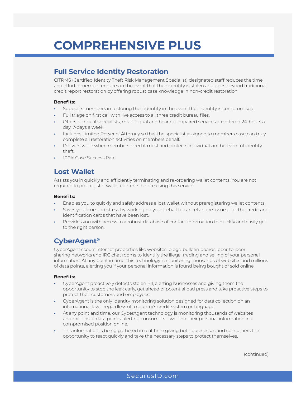## **COMPREHENSIVE PLUS**

## **Full Service Identity Restoration**

CITRMS (Certified Identity Theft Risk Management Specialist) designated staff reduces the time and effort a member endures in the event that their identity is stolen and goes beyond traditional credit report restoration by offering robust case knowledge in non-credit restoration.

### **Benefits:**

- **•** Supports members in restoring their identity in the event their identity is compromised.
- **•** Full triage on first call with live access to all three credit bureau files.
- **•** Offers bilingual specialists, multilingual and hearing-impaired services are offered 24-hours a day, 7-days a week.
- **•** Includes Limited Power of Attorney so that the specialist assigned to members case can truly complete all restoration activities on members behalf.
- **•** Delivers value when members need it most and protects individuals in the event of identity theft.
- **•** 100% Case Success Rate

### **Lost Wallet**

Assists you in quickly and efficiently terminating and re-ordering wallet contents. You are not required to pre-register wallet contents before using this service.

### **Benefits:**

- **•** Enables you to quickly and safely address a lost wallet without preregistering wallet contents.
- **•** Saves you time and stress by working on your behalf to cancel and re-issue all of the credit and identification cards that have been lost.
- **•** Provides you with access to a robust database of contact information to quickly and easily get to the right person.

## **CyberAgent®**

CyberAgent scours Internet properties like websites, blogs, bulletin boards, peer-to-peer sharing networks and IRC chat rooms to identify the illegal trading and selling of your personal information. At any point in time, this technology is monitoring thousands of websites and millions of data points, alerting you if your personal information is found being bought or sold online.

### **Benefits:**

- **•** CyberAgent proactively detects stolen PII, alerting businesses and giving them the opportunity to stop the leak early, get ahead of potential bad press and take proactive steps to protect their customers and employees.
- **•** CyberAgent is the only identity monitoring solution designed for data collection on an international level, regardless of a country's credit system or language.
- **•** At any point and time, our CyberAgent technology is monitoring thousands of websites and millions of data points, alerting consumers if we find their personal information in a compromised position online.
- **•** This information is being gathered in real-time giving both businesses and consumers the opportunity to react quickly and take the necessary steps to protect themselves.

(continued)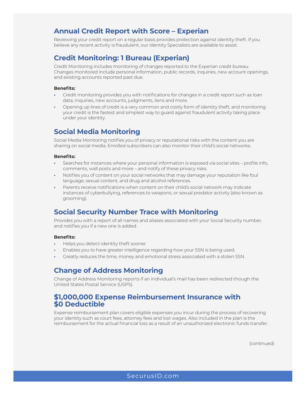### **Annual Credit Report with Score – Experian**

Reviewing your credit report on a regular basis provides protection against identity theft. If you believe any recent activity is fraudulent, our Identity Specialists are available to assist.

### **Credit Monitoring: 1 Bureau (Experian)**

Credit Monitoring includes monitoring of changes reported to the Experian credit bureau. Changes monitored include personal information, public records, inquiries, new account openings, and existing accounts reported past due.

#### **Benefits:**

- **•** Credit monitoring provides you with notifications for changes in a credit report such as loan data, inquiries, new accounts, judgments, liens and more.
- **•** Opening up lines of credit is a very common and costly form of identity theft, and monitoring your credit is the fastest and simplest way to guard against fraudulent activity taking place under your identity.

### **Social Media Monitoring**

Social Media Monitoring notifies you of privacy or reputational risks with the content you are sharing on social media. Enrolled subscribers can also monitor their child's social networks.

#### **Benefits:**

- **•** Searches for instances where your personal information is exposed via social sites profile info, comments, wall posts and more – and notify of these privacy risks.
- **•** Notifies you of content on your social networks that may damage your reputation like foul language, sexual content, and drug and alcohol references.
- **•** Parents receive notifications when content on their child's social network may indicate instances of cyberbullying, references to weapons, or sexual predator activity (also known as grooming).

### **Social Security Number Trace with Monitoring**

Provides you with a report of all names and aliases associated with your Social Security number, and notifies you if a new one is added.

### **Benefits:**

- **•** Helps you detect identity theft sooner.
- **•** Enables you to have greater intelligence regarding how your SSN is being used.
- **•** Greatly reduces the time, money and emotional stress associated with a stolen SSN.

### **Change of Address Monitoring**

Change of Address Monitoring reports if an individual's mail has been redirected though the United States Postal Service (USPS).

### **\$1,000,000 Expense Reimbursement Insurance with \$0 Deductible**

Expense reimbursement plan covers eligible expenses you incur during the process of recovering your identity such as court fees, attorney fees and lost wages. Also included in the plan is the reimbursement for the actual financial loss as a result of an unauthorized electronic funds transfer.

(continued)

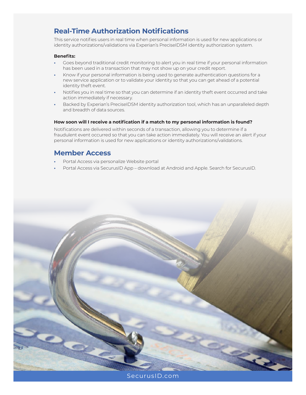## **Real-Time Authorization Notifications**

This service notifies users in real time when personal information is used for new applications or identity authorizations/validations via Experian's PreciseIDSM identity authorization system.

### **Benefits:**

- **•** Goes beyond traditional credit monitoring to alert you in real time if your personal information has been used in a transaction that may not show up on your credit report.
- **•** Know if your personal information is being used to generate authentication questions for a new service application or to validate your identity so that you can get ahead of a potential identity theft event.
- **•** Notifies you in real time so that you can determine if an identity theft event occurred and take action immediately if necessary.
- **•** Backed by Experian's PreciseIDSM identity authorization tool, which has an unparalleled depth and breadth of data sources.

### **How soon will I receive a notification if a match to my personal information is found?**

Notifications are delivered within seconds of a transaction, allowing you to determine if a fraudulent event occurred so that you can take action immediately. You will receive an alert if your personal information is used for new applications or identity authorizations/validations.

### **Member Access**

- **•** Portal Access via personalize Website portal
- **•** Portal Access via SecurusID App download at Android and Apple. Search for SecurusID.



[SecurusID.com](https://www.securuspartnersolutions.com/securus-id)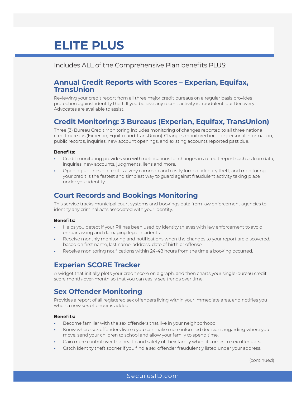## **ELITE PLUS**

Includes ALL of the Comprehensive Plan benefits PLUS:

### **Annual Credit Reports with Scores – Experian, Equifax, TransUnion**

Reviewing your credit report from all three major credit bureaus on a regular basis provides protection against identity theft. If you believe any recent activity is fraudulent, our Recovery Advocates are available to assist.

## **Credit Monitoring: 3 Bureaus (Experian, Equifax, TransUnion)**

Three (3) Bureau Credit Monitoring includes monitoring of changes reported to all three national credit bureaus (Experian, Equifax and TransUnion). Changes monitored include personal information, public records, inquiries, new account openings, and existing accounts reported past due.

### **Benefits:**

- **•** Credit monitoring provides you with notifications for changes in a credit report such as loan data, inquiries, new accounts, judgments, liens and more.
- **•** Opening up lines of credit is a very common and costly form of identity theft, and monitoring your credit is the fastest and simplest way to guard against fraudulent activity taking place under your identity.

## **Court Records and Bookings Monitoring**

This service tracks municipal court systems and bookings data from law enforcement agencies to identity any criminal acts associated with your identity.

### **Benefits:**

- **•** Helps you detect if your PII has been used by identity thieves with law enforcement to avoid embarrassing and damaging legal incidents.
- **•** Receive monthly monitoring and notifications when the changes to your report are discovered, based on first name, last name, address, date of birth or offense.
- **•** Receive monitoring notifications within 24-48 hours from the time a booking occurred.

### **Experian SCORE Tracker**

A widget that initially plots your credit score on a graph, and then charts your single-bureau credit score month-over-month so that you can easily see trends over time.

## **Sex Offender Monitoring**

Provides a report of all registered sex offenders living within your immediate area, and notifies you when a new sex offender is added.

### **Benefits:**

- **•** Become familiar with the sex offenders that live in your neighborhood.
- **•** Know where sex offenders live so you can make more informed decisions regarding where you move, send your children to school and allow your family to spend time.
- **•** Gain more control over the health and safety of their family when it comes to sex offenders.
- **•** Catch identity theft sooner if you find a sex offender fraudulently listed under your address.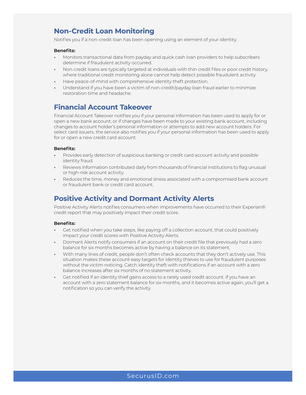### **Non-Credit Loan Monitoring**

Notifies you if a non-credit loan has been opening using an element of your identity.

#### **Benefits:**

- **•** Monitors transactional data from payday and quick cash loan providers to help subscribers determine if fraudulent activity occurred.
- **•** Non-credit loans are typically targeted at individuals with thin credit files or poor credit history, where traditional credit monitoring alone cannot help detect possible fraudulent activity.
- **•** Have peace-of-mind with comprehensive identity theft protection.
- **•** Understand if you have been a victim of non-credit/payday loan fraud earlier to minimize restoration time and headache.

### **Financial Account Takeover**

Financial Account Takeover notifies you if your personal information has been used to apply for or open a new bank account; or if changes have been made to your existing bank account, including changes to account holder's personal information or attempts to add new account holders. For select card issuers, the service also notifies you if your personal information has been used to apply for or open a new credit card account.

#### **Benefits:**

- **•** Provides early detection of suspicious banking or credit card account activity and possible identity fraud.
- **•** Reviews information contributed daily from thousands of financial institutions to flag unusual or high-risk account activity.
- **•** Reduces the time, money and emotional stress associated with a compromised bank account or fraudulent bank or credit card account.

### **Positive Activity and Dormant Activity Alerts**

Positive Activity Alerts notifies consumers when improvements have occurred to their Experian® credit report that may positively impact their credit score.

### **Benefits:**

- **•** Get notified when you take steps, like paying off a collection account, that could positively impact your credit scores with Positive Activity Alerts.
- **•** Dormant Alerts notify consumers if an account on their credit file that previously had a zero balance for six months becomes active by having a balance on its statement.
- **•** With many lines of credit, people don't often check accounts that they don't actively use. This situation makes these account easy targets for identity thieves to use for fraudulent purposes without the victim noticing. Catch identity theft with notifications if an account with a zero balance increases after six months of no statement activity.
- **•** Get notified if an identity thief gains access to a rarely used credit account. If you have an account with a zero statement balance for six months, and it becomes active again, you'll get a notification so you can verify the activity.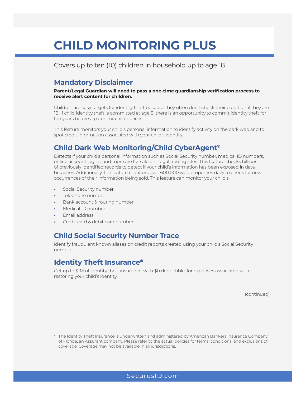## **CHILD MONITORING PLUS**

Covers up to ten (10) children in household up to age 18

### **Mandatory Disclaimer**

**Parent/Legal Guardian will need to pass a one-time guardianship verification process to receive alert content for children.**

Children are easy targets for identity theft because they often don't check their credit until they are 18. If child identity theft is committed at age 8, there is an opportunity to commit identity theft for ten years before a parent or child notices.

This feature monitors your child's personal information to identify activity on the dark web and to spot credit information associated with your child's identity.

## **Child Dark Web Monitoring/Child CyberAgent®**

Detects if your child's personal information such as Social Security number, medical ID numbers, online account logins, and more are for sale on illegal trading sites. This feature checks billions of previously identified records to detect if your child's information has been exposed in data breaches. Additionally, the feature monitors over 600,000 web properties daily to check for new occurrences of their information being sold. This feature can monitor your child's:

- **•** Social Security number
- **•** Telephone number
- **•** Bank account & routing number
- **•** Medical ID number
- **•** Email address
- **•** Credit card & debit card number

### **Child Social Security Number Trace**

Identify fraudulent known aliases on credit reports created using your child's Social Security number.

### **Identity Theft Insurance\***

Get up to \$1M of identity theft insurance, with \$0 deductible, for expenses associated with restoring your child's identity.

(continued)

\* The Identity Theft Insurance is underwritten and administered by American Bankers Insurance Company of Florida, an Assurant company. Please refer to the actual policies for terms, conditions, and exclusions of coverage. Coverage may not be available in all jurisdictions.

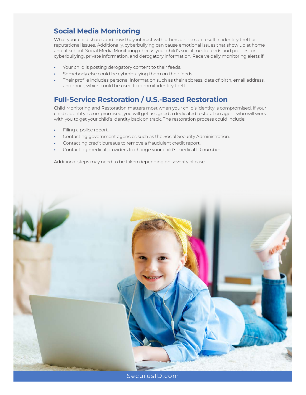## **Social Media Monitoring**

What your child shares and how they interact with others online can result in identity theft or reputational issues. Additionally, cyberbullying can cause emotional issues that show up at home and at school. Social Media Monitoring checks your child's social media feeds and profiles for cyberbullying, private information, and derogatory information. Receive daily monitoring alerts if:

- **•** Your child is posting derogatory content to their feeds.
- **•** Somebody else could be cyberbullying them on their feeds.
- **•** Their profile includes personal information such as their address, date of birth, email address, and more, which could be used to commit identity theft.

## **Full-Service Restoration / U.S.-Based Restoration**

Child Monitoring and Restoration matters most when your child's identity is compromised. If your child's identity is compromised, you will get assigned a dedicated restoration agent who will work with you to get your child's identity back on track. The restoration process could include:

- **•** Filing a police report.
- **•** Contacting government agencies such as the Social Security Administration.
- **•** Contacting credit bureaus to remove a fraudulent credit report.
- **•** Contacting medical providers to change your child's medical ID number.

Additional steps may need to be taken depending on severity of case.